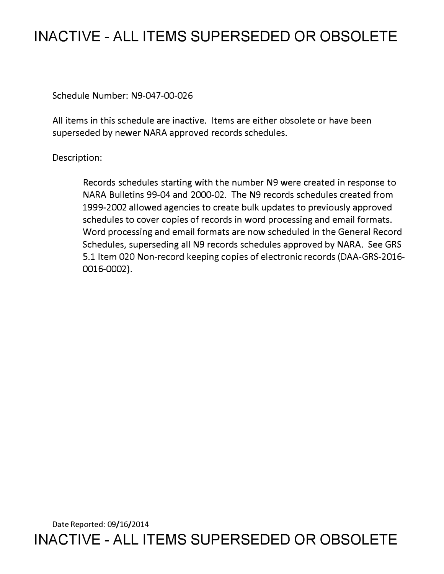# **INACTIVE - ALL ITEMS SUPERSEDED OR OBSOLETE**

Schedule Number: N9-047-00-026

All items in this schedule are inactive. Items are either obsolete or have been superseded by newer NARA approved records schedules.

## Description:

Records schedules starting with the number N9 were created in response to NARA Bulletins 99-04 and 2000-02. The N9 records schedules created from 1999-2002 allowed agencies to create bulk updates to previously approved schedules to cover copies of records in word processing and email formats. Word processing and email formats are now scheduled in the General Record Schedules, superseding all N9 records schedules approved by NARA. See GRS 5.1 Item 020 Non-record keeping copies of electronic records (DAA-GRS-2016- 0016-0002).

Date Reported: 09/16/2014 **INACTIVE - ALL ITEMS SUPERSEDED OR OBSOLETE**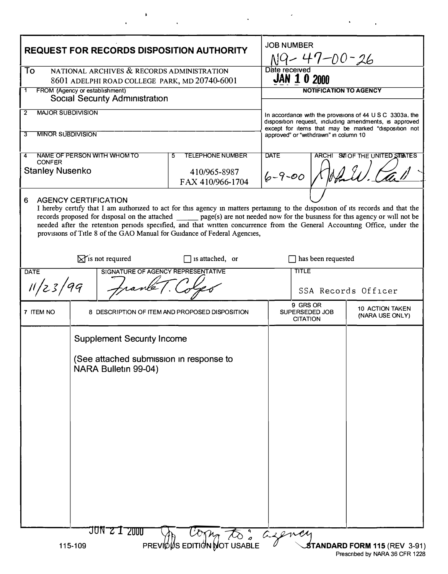| NATIONAL ARCHIVES & RECORDS ADMINISTRATION<br>Date received<br>To<br><b>JAN 1 0 2000</b><br>8601 ADELPHI ROAD COLLEGE PARK, MD 20740-6001<br>FROM (Agency or establishment)<br><b>NOTIFICATION TO AGENCY</b><br>1<br><b>Social Security Administration</b><br><b>MAJOR SUBDIVISION</b><br>2<br>In accordance with the provisions of $44 \cup S \cup C$ 3303a, the<br>disposition request, including amendments, is approved<br>except for items that may be marked "disposition not<br><b>MINOR SUBDIVISION</b><br>3<br>approved" or "withdrawn" in column 10<br><b>TELEPHONE NUMBER</b><br><b>DATE</b><br>NAME OF PERSON WITH WHOM TO<br>ARCHI SVII OF THE UNITED STIATES<br>5<br>4<br><b>CONFER</b><br><b>Stanley Nusenko</b><br>410/965-8987<br>$6 - 9 - 00$<br>FAX 410/966-1704<br><b>AGENCY CERTIFICATION</b><br>6<br>I hereby certify that I am authorized to act for this agency in matters pertaining to the disposition of its records and that the<br>records proposed for disposal on the attached page(s) are not needed now for the business for this agency or will not be<br>needed after the retention periods specified, and that written concurrence from the General Accounting Office, under the<br>provisions of Title 8 of the GAO Manual for Guidance of Federal Agencies,<br>$\mathbb{X}$ is not required<br>has been requested<br>$\Box$ is attached, or<br>SIGNATURE OF AGENCY REPRESENTATIVE<br><b>TITLE</b><br><b>DATE</b><br>11/23/99<br>SSA Records Officer<br>9 GRS OR<br><b>10 ACTION TAKEN</b><br>SUPERSEDED JOB<br>7 ITEM NO<br>8 DESCRIPTION OF ITEM AND PROPOSED DISPOSITION<br>(NARA USE ONLY)<br><b>CITATION</b><br><b>Supplement Security Income</b><br>(See attached submission in response to<br>NARA Bulletin 99-04) | <b>REQUEST FOR RECORDS DISPOSITION AUTHORITY</b> |  | <b>JOB NUMBER</b><br>$NQ - 47 - 00 - 26$ |  |  |  |
|----------------------------------------------------------------------------------------------------------------------------------------------------------------------------------------------------------------------------------------------------------------------------------------------------------------------------------------------------------------------------------------------------------------------------------------------------------------------------------------------------------------------------------------------------------------------------------------------------------------------------------------------------------------------------------------------------------------------------------------------------------------------------------------------------------------------------------------------------------------------------------------------------------------------------------------------------------------------------------------------------------------------------------------------------------------------------------------------------------------------------------------------------------------------------------------------------------------------------------------------------------------------------------------------------------------------------------------------------------------------------------------------------------------------------------------------------------------------------------------------------------------------------------------------------------------------------------------------------------------------------------------------------------------------------------------------------------------------------------------------------------------|--------------------------------------------------|--|------------------------------------------|--|--|--|
|                                                                                                                                                                                                                                                                                                                                                                                                                                                                                                                                                                                                                                                                                                                                                                                                                                                                                                                                                                                                                                                                                                                                                                                                                                                                                                                                                                                                                                                                                                                                                                                                                                                                                                                                                                |                                                  |  |                                          |  |  |  |
|                                                                                                                                                                                                                                                                                                                                                                                                                                                                                                                                                                                                                                                                                                                                                                                                                                                                                                                                                                                                                                                                                                                                                                                                                                                                                                                                                                                                                                                                                                                                                                                                                                                                                                                                                                |                                                  |  |                                          |  |  |  |
|                                                                                                                                                                                                                                                                                                                                                                                                                                                                                                                                                                                                                                                                                                                                                                                                                                                                                                                                                                                                                                                                                                                                                                                                                                                                                                                                                                                                                                                                                                                                                                                                                                                                                                                                                                |                                                  |  |                                          |  |  |  |
|                                                                                                                                                                                                                                                                                                                                                                                                                                                                                                                                                                                                                                                                                                                                                                                                                                                                                                                                                                                                                                                                                                                                                                                                                                                                                                                                                                                                                                                                                                                                                                                                                                                                                                                                                                |                                                  |  |                                          |  |  |  |
|                                                                                                                                                                                                                                                                                                                                                                                                                                                                                                                                                                                                                                                                                                                                                                                                                                                                                                                                                                                                                                                                                                                                                                                                                                                                                                                                                                                                                                                                                                                                                                                                                                                                                                                                                                |                                                  |  |                                          |  |  |  |
|                                                                                                                                                                                                                                                                                                                                                                                                                                                                                                                                                                                                                                                                                                                                                                                                                                                                                                                                                                                                                                                                                                                                                                                                                                                                                                                                                                                                                                                                                                                                                                                                                                                                                                                                                                |                                                  |  |                                          |  |  |  |
|                                                                                                                                                                                                                                                                                                                                                                                                                                                                                                                                                                                                                                                                                                                                                                                                                                                                                                                                                                                                                                                                                                                                                                                                                                                                                                                                                                                                                                                                                                                                                                                                                                                                                                                                                                |                                                  |  |                                          |  |  |  |
|                                                                                                                                                                                                                                                                                                                                                                                                                                                                                                                                                                                                                                                                                                                                                                                                                                                                                                                                                                                                                                                                                                                                                                                                                                                                                                                                                                                                                                                                                                                                                                                                                                                                                                                                                                |                                                  |  |                                          |  |  |  |
|                                                                                                                                                                                                                                                                                                                                                                                                                                                                                                                                                                                                                                                                                                                                                                                                                                                                                                                                                                                                                                                                                                                                                                                                                                                                                                                                                                                                                                                                                                                                                                                                                                                                                                                                                                |                                                  |  |                                          |  |  |  |
| JON 2 1 2000<br>PREVIDES EDITION DOT USABLE                                                                                                                                                                                                                                                                                                                                                                                                                                                                                                                                                                                                                                                                                                                                                                                                                                                                                                                                                                                                                                                                                                                                                                                                                                                                                                                                                                                                                                                                                                                                                                                                                                                                                                                    |                                                  |  |                                          |  |  |  |

 $\hat{\mathbf{F}}$ 

 $\bar{\mathbf{A}}$ 

 $\label{eq:2.1} \frac{1}{\sqrt{2}}\int_{0}^{\pi} \frac{1}{\sqrt{2\pi}}\left(\frac{1}{\sqrt{2\pi}}\right)^{2} \frac{1}{\sqrt{2\pi}}\int_{0}^{\pi}\frac{1}{\sqrt{2\pi}}\left(\frac{1}{\sqrt{2\pi}}\right)^{2} \frac{1}{\sqrt{2\pi}}\int_{0}^{\pi}\frac{1}{\sqrt{2\pi}}\frac{1}{\sqrt{2\pi}}\frac{1}{\sqrt{2\pi}}\frac{1}{\sqrt{2\pi}}\frac{1}{\sqrt{2\pi}}\frac{1}{\sqrt{2\pi}}\frac{1}{\sqrt{2\pi}}\frac{1$ 

 $\bullet$ 

 $\ddot{\phantom{a}}$